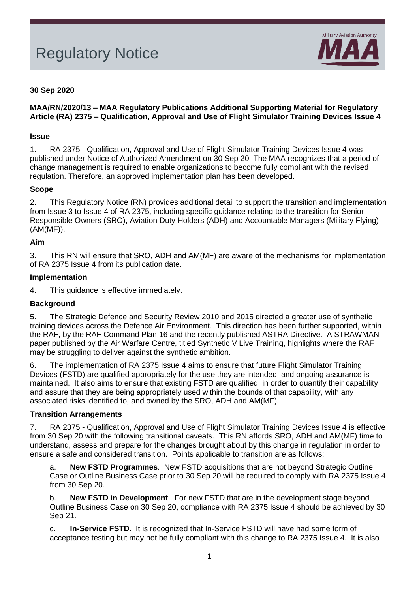# Regulatory Notice



# **30 Sep 2020**

# **MAA/RN/2020/13 – MAA Regulatory Publications Additional Supporting Material for Regulatory Article (RA) 2375 – Qualification, Approval and Use of Flight Simulator Training Devices Issue 4**

#### **Issue**

1. RA 2375 - Qualification, Approval and Use of Flight Simulator Training Devices Issue 4 was published under Notice of Authorized Amendment on 30 Sep 20. The MAA recognizes that a period of change management is required to enable organizations to become fully compliant with the revised regulation. Therefore, an approved implementation plan has been developed.

#### **Scope**

2. This Regulatory Notice (RN) provides additional detail to support the transition and implementation from Issue 3 to Issue 4 of RA 2375, including specific guidance relating to the transition for Senior Responsible Owners (SRO), Aviation Duty Holders (ADH) and Accountable Managers (Military Flying) (AM(MF)).

#### **Aim**

3. This RN will ensure that SRO, ADH and AM(MF) are aware of the mechanisms for implementation of RA 2375 Issue 4 from its publication date.

#### **Implementation**

4. This guidance is effective immediately.

#### **Background**

5. The Strategic Defence and Security Review 2010 and 2015 directed a greater use of synthetic training devices across the Defence Air Environment. This direction has been further supported, within the RAF, by the RAF Command Plan 16 and the recently published ASTRA Directive. A STRAWMAN paper published by the Air Warfare Centre, titled Synthetic V Live Training, highlights where the RAF may be struggling to deliver against the synthetic ambition.

6. The implementation of RA 2375 Issue 4 aims to ensure that future Flight Simulator Training Devices (FSTD) are qualified appropriately for the use they are intended, and ongoing assurance is maintained. It also aims to ensure that existing FSTD are qualified, in order to quantify their capability and assure that they are being appropriately used within the bounds of that capability, with any associated risks identified to, and owned by the SRO, ADH and AM(MF).

#### **Transition Arrangements**

7. RA 2375 - Qualification, Approval and Use of Flight Simulator Training Devices Issue 4 is effective from 30 Sep 20 with the following transitional caveats. This RN affords SRO, ADH and AM(MF) time to understand, assess and prepare for the changes brought about by this change in regulation in order to ensure a safe and considered transition. Points applicable to transition are as follows:

a. **New FSTD Programmes**. New FSTD acquisitions that are not beyond Strategic Outline Case or Outline Business Case prior to 30 Sep 20 will be required to comply with RA 2375 Issue 4 from 30 Sep 20.

b. **New FSTD in Development**. For new FSTD that are in the development stage beyond Outline Business Case on 30 Sep 20, compliance with RA 2375 Issue 4 should be achieved by 30 Sep 21.

c. **In-Service FSTD**. It is recognized that In-Service FSTD will have had some form of acceptance testing but may not be fully compliant with this change to RA 2375 Issue 4. It is also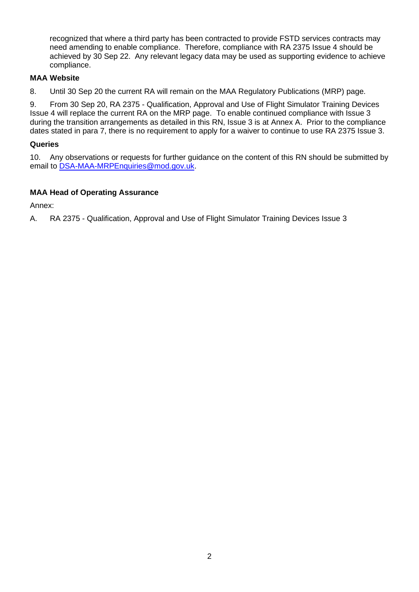recognized that where a third party has been contracted to provide FSTD services contracts may need amending to enable compliance. Therefore, compliance with RA 2375 Issue 4 should be achieved by 30 Sep 22. Any relevant legacy data may be used as supporting evidence to achieve compliance.

# **MAA Website**

8. Until 30 Sep 20 the current RA will remain on the MAA Regulatory Publications (MRP) page.

9. From 30 Sep 20, RA 2375 - Qualification, Approval and Use of Flight Simulator Training Devices Issue 4 will replace the current RA on the MRP page. To enable continued compliance with Issue 3 during the transition arrangements as detailed in this RN, Issue 3 is at Annex A. Prior to the compliance dates stated in para 7, there is no requirement to apply for a waiver to continue to use RA 2375 Issue 3.

# **Queries**

10. Any observations or requests for further guidance on the content of this RN should be submitted by email to [DSA-MAA-MRPEnquiries@mod.gov.uk.](mailto:DSA-MAA-MRPEnquiries@mod.gov.uk)

# **MAA Head of Operating Assurance**

Annex:

A. RA 2375 - Qualification, Approval and Use of Flight Simulator Training Devices Issue 3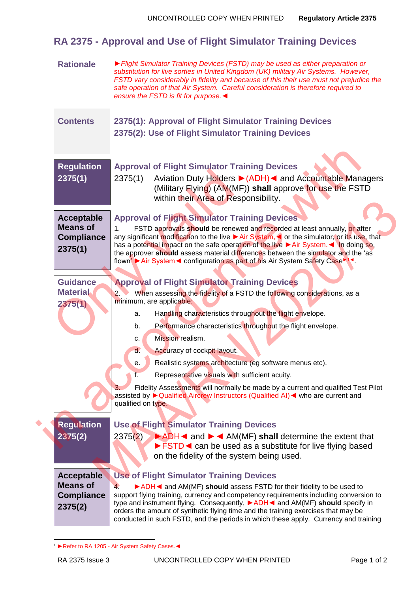# **RA 2375 - Approval and Use of Flight Simulator Training Devices**

| <b>Rationale</b>                                                     | ▶ Flight Simulator Training Devices (FSTD) may be used as either preparation or<br>substitution for live sorties in United Kingdom (UK) military Air Systems. However,<br>FSTD vary considerably in fidelity and because of this their use must not prejudice the<br>safe operation of that Air System. Careful consideration is therefore required to<br>ensure the FSTD is fit for purpose. ◀                                                                                                                                                                                                                                                                                                             |
|----------------------------------------------------------------------|-------------------------------------------------------------------------------------------------------------------------------------------------------------------------------------------------------------------------------------------------------------------------------------------------------------------------------------------------------------------------------------------------------------------------------------------------------------------------------------------------------------------------------------------------------------------------------------------------------------------------------------------------------------------------------------------------------------|
| <b>Contents</b>                                                      | 2375(1): Approval of Flight Simulator Training Devices<br>2375(2): Use of Flight Simulator Training Devices                                                                                                                                                                                                                                                                                                                                                                                                                                                                                                                                                                                                 |
| <b>Regulation</b><br>2375(1)                                         | <b>Approval of Flight Simulator Training Devices</b><br>Aviation Duty Holders ▶ (ADH) < and Accountable Managers<br>2375(1)<br>(Military Flying) (AM(MF)) shall approve for use the FSTD<br>within their Area of Responsibility.                                                                                                                                                                                                                                                                                                                                                                                                                                                                            |
| <b>Acceptable</b><br><b>Means of</b><br><b>Compliance</b><br>2375(1) | <b>Approval of Flight Simulator Training Devices</b><br>FSTD approvals should be renewed and recorded at least annually, or after<br>1.<br>any significant modification to the live ► Air System, < or the simulator, or its use, that<br>has a potential impact on the safe operation of the live ► Air System. < In doing so,<br>the approver should assess material differences between the simulator and the 'as<br>flown' ► Air System < configuration as part of his Air System Safety Case 1.                                                                                                                                                                                                        |
| <b>Guidance</b><br><b>Material</b><br>2375(1)                        | <b>Approval of Flight Simulator Training Devices</b><br>When assessing the fidelity of a FSTD the following considerations, as a<br>2.<br>minimum, are applicable:<br>Handling characteristics throughout the flight envelope.<br>a.<br>Performance characteristics throughout the flight envelope.<br>b.<br>Mission realism.<br>c.<br>Accuracy of cockpit layout.<br>$\mathsf{d}$ .<br>Realistic systems architecture (eg software menus etc).<br>е.<br>Representative visuals with sufficient acuity.<br>f.<br>Fidelity Assessments will normally be made by a current and qualified Test Pilot<br>assisted by ▶ Qualified Aircrew Instructors (Qualified AI) < who are current and<br>qualified on type. |
| <b>Regulation</b><br>2375(2)                                         | <b>Use of Flight Simulator Training Devices</b><br>$\triangleright$ ADH $\triangleleft$ and $\triangleright$ $\triangleleft$ AM(MF) shall determine the extent that<br>2375(2)<br>$\triangleright$ FSTD $\triangleleft$ can be used as a substitute for live flying based<br>on the fidelity of the system being used.                                                                                                                                                                                                                                                                                                                                                                                      |
| <b>Acceptable</b><br><b>Means of</b><br><b>Compliance</b><br>2375(2) | <b>Use of Flight Simulator Training Devices</b><br>ADH < and AM(MF) should assess FSTD for their fidelity to be used to<br>support flying training, currency and competency requirements including conversion to<br>type and instrument flying. Consequently, ▶ ADH < and AM(MF) should specify in<br>orders the amount of synthetic flying time and the training exercises that may be<br>conducted in such FSTD, and the periods in which these apply. Currency and training                                                                                                                                                                                                                              |

<sup>1</sup> ►Refer to RA 1205 - Air System Safety Cases.◄